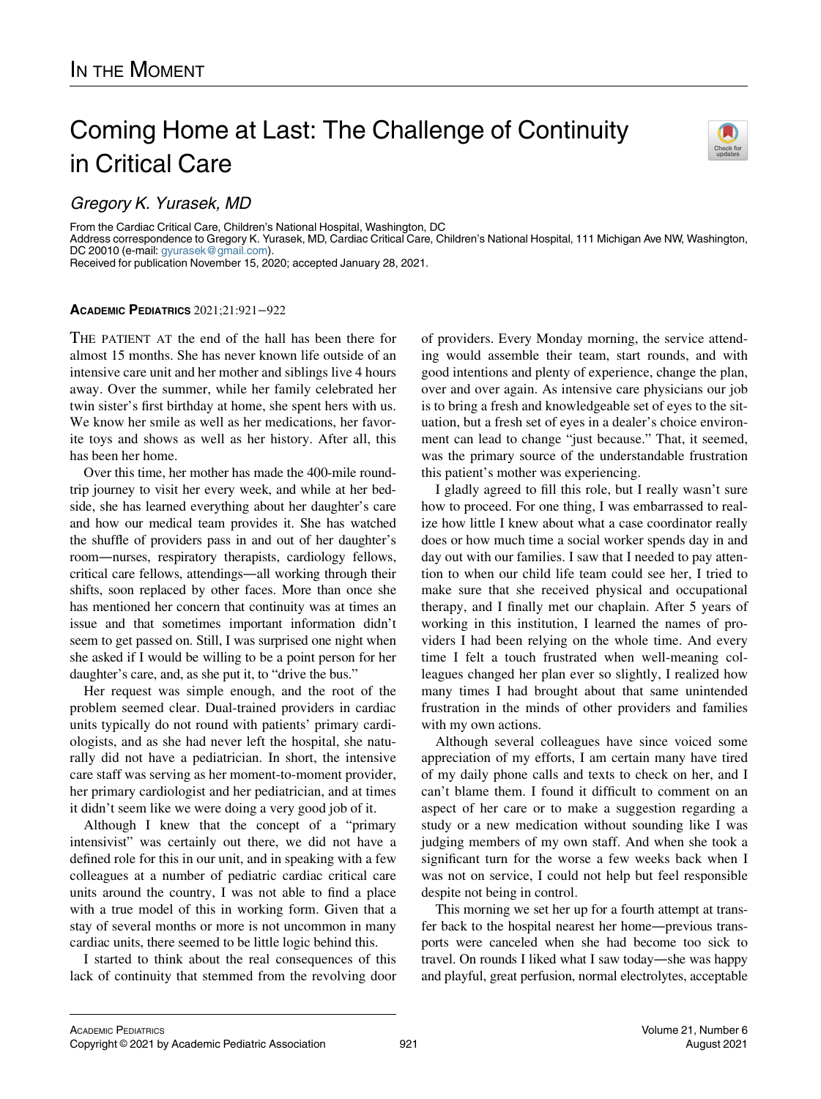## Coming Home at Last: The Challenge of Continuity in Critical Care

From the Cardiac Critical Care, Children's National Hospital, Washington, DC

Address correspondence to Gregory K. Yurasek, MD, Cardiac Critical Care, Children's National Hospital, 111 Michigan Ave NW, Washington, DC 20010 (e-mail: [gyurasek@gmail.com\)](mailto:gyurasek@gmail.com) Received for publication November 15, 2020; accepted January 28, 2021.

## ACADEMIC PEDIATRICS 2021;21:921−922

THE PATIENT AT the end of the hall has been there for almost 15 months. She has never known life outside of an intensive care unit and her mother and siblings live 4 hours away. Over the summer, while her family celebrated her twin sister's first birthday at home, she spent hers with us. We know her smile as well as her medications, her favorite toys and shows as well as her history. After all, this has been her home.

Over this time, her mother has made the 400-mile roundtrip journey to visit her every week, and while at her bedside, she has learned everything about her daughter's care and how our medical team provides it. She has watched the shuffle of providers pass in and out of her daughter's room—nurses, respiratory therapists, cardiology fellows, critical care fellows, attendings—all working through their shifts, soon replaced by other faces. More than once she has mentioned her concern that continuity was at times an issue and that sometimes important information didn't seem to get passed on. Still, I was surprised one night when she asked if I would be willing to be a point person for her daughter's care, and, as she put it, to "drive the bus."

Her request was simple enough, and the root of the problem seemed clear. Dual-trained providers in cardiac units typically do not round with patients' primary cardiologists, and as she had never left the hospital, she naturally did not have a pediatrician. In short, the intensive care staff was serving as her moment-to-moment provider, her primary cardiologist and her pediatrician, and at times it didn't seem like we were doing a very good job of it.

Although I knew that the concept of a "primary intensivist" was certainly out there, we did not have a defined role for this in our unit, and in speaking with a few colleagues at a number of pediatric cardiac critical care units around the country, I was not able to find a place with a true model of this in working form. Given that a stay of several months or more is not uncommon in many cardiac units, there seemed to be little logic behind this.

I started to think about the real consequences of this lack of continuity that stemmed from the revolving door of providers. Every Monday morning, the service attending would assemble their team, start rounds, and with good intentions and plenty of experience, change the plan, over and over again. As intensive care physicians our job is to bring a fresh and knowledgeable set of eyes to the situation, but a fresh set of eyes in a dealer's choice environment can lead to change "just because." That, it seemed, was the primary source of the understandable frustration this patient's mother was experiencing.

I gladly agreed to fill this role, but I really wasn't sure how to proceed. For one thing, I was embarrassed to realize how little I knew about what a case coordinator really does or how much time a social worker spends day in and day out with our families. I saw that I needed to pay attention to when our child life team could see her, I tried to make sure that she received physical and occupational therapy, and I finally met our chaplain. After 5 years of working in this institution, I learned the names of providers I had been relying on the whole time. And every time I felt a touch frustrated when well-meaning colleagues changed her plan ever so slightly, I realized how many times I had brought about that same unintended frustration in the minds of other providers and families with my own actions.

Although several colleagues have since voiced some appreciation of my efforts, I am certain many have tired of my daily phone calls and texts to check on her, and I can't blame them. I found it difficult to comment on an aspect of her care or to make a suggestion regarding a study or a new medication without sounding like I was judging members of my own staff. And when she took a significant turn for the worse a few weeks back when I was not on service, I could not help but feel responsible despite not being in control.

This morning we set her up for a fourth attempt at transfer back to the hospital nearest her home—previous transports were canceled when she had become too sick to travel. On rounds I liked what I saw today—she was happy and playful, great perfusion, normal electrolytes, acceptable